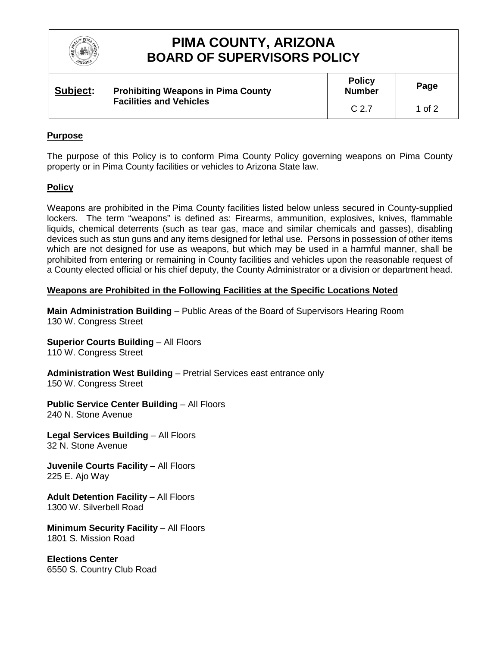

# **PIMA COUNTY, ARIZONA BOARD OF SUPERVISORS POLICY**

| Subject: | <b>Prohibiting Weapons in Pima County</b><br><b>Facilities and Vehicles</b> | <b>Policy</b><br><b>Number</b> | Page   |
|----------|-----------------------------------------------------------------------------|--------------------------------|--------|
|          |                                                                             | C.2.7                          | 1 of 2 |

## **Purpose**

The purpose of this Policy is to conform Pima County Policy governing weapons on Pima County property or in Pima County facilities or vehicles to Arizona State law.

### **Policy**

Weapons are prohibited in the Pima County facilities listed below unless secured in County-supplied lockers. The term "weapons" is defined as: Firearms, ammunition, explosives, knives, flammable liquids, chemical deterrents (such as tear gas, mace and similar chemicals and gasses), disabling devices such as stun guns and any items designed for lethal use. Persons in possession of other items which are not designed for use as weapons, but which may be used in a harmful manner, shall be prohibited from entering or remaining in County facilities and vehicles upon the reasonable request of a County elected official or his chief deputy, the County Administrator or a division or department head.

## **Weapons are Prohibited in the Following Facilities at the Specific Locations Noted**

**Main Administration Building** – Public Areas of the Board of Supervisors Hearing Room 130 W. Congress Street

**Superior Courts Building** – All Floors 110 W. Congress Street

**Administration West Building** – Pretrial Services east entrance only 150 W. Congress Street

**Public Service Center Building** – All Floors 240 N. Stone Avenue

**Legal Services Building** – All Floors 32 N. Stone Avenue

**Juvenile Courts Facility** – All Floors 225 E. Ajo Way

**Adult Detention Facility** – All Floors 1300 W. Silverbell Road

**Minimum Security Facility** – All Floors 1801 S. Mission Road

**Elections Center** 6550 S. Country Club Road